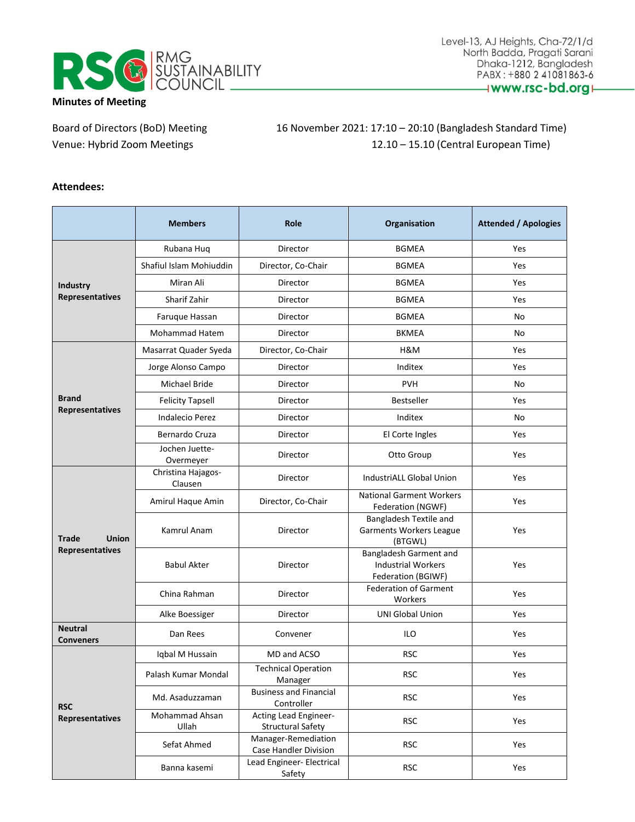

Board of Directors (BoD) Meeting 16 November 2021: 17:10 – 20:10 (Bangladesh Standard Time) Venue: Hybrid Zoom Meetings 12.10 – 15.10 (Central European Time)

#### **Attendees:**

|                                    | <b>Members</b>                | <b>Role</b>                                       | Organisation                                                              | <b>Attended / Apologies</b> |
|------------------------------------|-------------------------------|---------------------------------------------------|---------------------------------------------------------------------------|-----------------------------|
|                                    | Rubana Huq                    | Director                                          | <b>BGMEA</b>                                                              | Yes                         |
|                                    | Shafiul Islam Mohiuddin       | Director, Co-Chair                                | <b>BGMEA</b>                                                              | Yes                         |
| <b>Industry</b>                    | Miran Ali                     | Director                                          | <b>BGMEA</b>                                                              | Yes                         |
| Representatives                    | Sharif Zahir                  | Director                                          | <b>BGMEA</b>                                                              | Yes                         |
|                                    | Faruque Hassan                | Director                                          | <b>BGMEA</b>                                                              | No                          |
|                                    | Mohammad Hatem                | Director                                          | <b>BKMEA</b>                                                              | No                          |
|                                    | Masarrat Quader Syeda         | Director, Co-Chair                                | H&M                                                                       | Yes                         |
|                                    | Jorge Alonso Campo            | Director                                          | Inditex                                                                   | Yes                         |
|                                    | <b>Michael Bride</b>          | Director                                          | <b>PVH</b>                                                                | No                          |
| <b>Brand</b>                       | <b>Felicity Tapsell</b>       | Director                                          | Bestseller                                                                | Yes                         |
| Representatives                    | <b>Indalecio Perez</b>        | Director                                          | Inditex                                                                   | No                          |
|                                    | Bernardo Cruza                | Director                                          | El Corte Ingles                                                           | Yes                         |
|                                    | Jochen Juette-<br>Overmeyer   | Director                                          | Otto Group                                                                | Yes                         |
|                                    | Christina Hajagos-<br>Clausen | Director                                          | <b>IndustriALL Global Union</b>                                           | Yes                         |
|                                    | Amirul Haque Amin             | Director, Co-Chair                                | <b>National Garment Workers</b><br>Federation (NGWF)                      | Yes                         |
| <b>Union</b><br><b>Trade</b>       | Kamrul Anam                   | Director                                          | Bangladesh Textile and<br><b>Garments Workers League</b><br>(BTGWL)       | Yes                         |
| Representatives                    | <b>Babul Akter</b>            | Director                                          | Bangladesh Garment and<br><b>Industrial Workers</b><br>Federation (BGIWF) | Yes                         |
|                                    | China Rahman                  | Director                                          | <b>Federation of Garment</b><br>Workers                                   | Yes                         |
|                                    | Alke Boessiger                | Director                                          | <b>UNI Global Union</b>                                                   | Yes                         |
| <b>Neutral</b><br><b>Conveners</b> | Dan Rees                      | Convener                                          | ILO                                                                       | Yes                         |
|                                    | Iqbal M Hussain               | MD and ACSO                                       | <b>RSC</b>                                                                | Yes                         |
|                                    | Palash Kumar Mondal           | <b>Technical Operation</b><br>Manager             | <b>RSC</b>                                                                | Yes                         |
| <b>RSC</b>                         | Md. Asaduzzaman               | <b>Business and Financial</b><br>Controller       | <b>RSC</b>                                                                | Yes                         |
| Representatives                    | Mohammad Ahsan<br>Ullah       | Acting Lead Engineer-<br><b>Structural Safety</b> | <b>RSC</b>                                                                | Yes                         |
|                                    | Sefat Ahmed                   | Manager-Remediation<br>Case Handler Division      | <b>RSC</b>                                                                | Yes                         |
|                                    | Banna kasemi                  | Lead Engineer- Electrical<br>Safety               | <b>RSC</b>                                                                | Yes                         |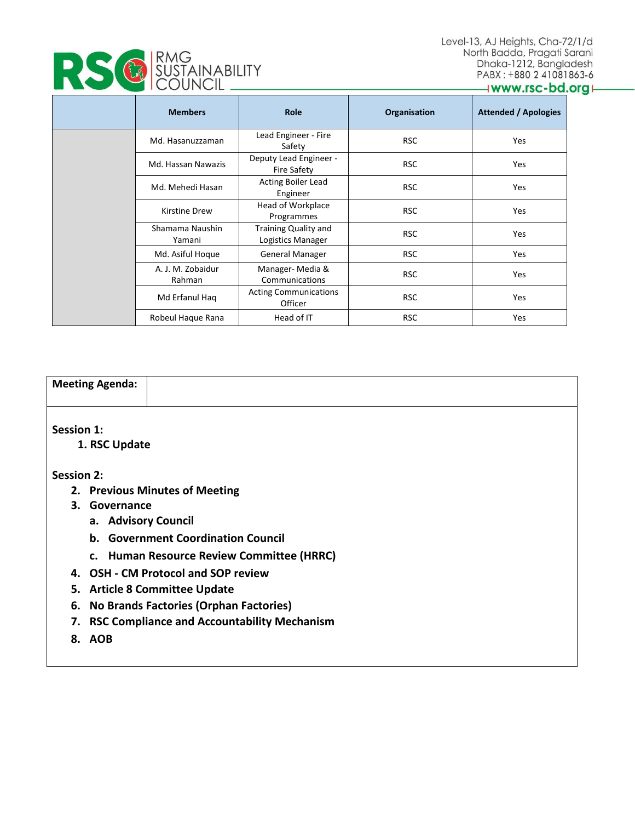

|  | <b>IRMG</b><br><b>E SÜSTAINABILITY</b> |
|--|----------------------------------------|
|--|----------------------------------------|

#### www.rsc-bd.org+

|  | <b>Members</b>              | <b>Role</b>                                      | Organisation | <b>Attended / Apologies</b> |
|--|-----------------------------|--------------------------------------------------|--------------|-----------------------------|
|  | Md. Hasanuzzaman            | Lead Engineer - Fire<br>Safety                   | <b>RSC</b>   | Yes                         |
|  | Md. Hassan Nawazis          | Deputy Lead Engineer -<br><b>Fire Safety</b>     | <b>RSC</b>   | Yes                         |
|  | Md. Mehedi Hasan            | <b>Acting Boiler Lead</b><br>Engineer            | <b>RSC</b>   | Yes                         |
|  | <b>Kirstine Drew</b>        | Head of Workplace<br>Programmes                  | <b>RSC</b>   | Yes                         |
|  | Shamama Naushin<br>Yamani   | <b>Training Quality and</b><br>Logistics Manager | <b>RSC</b>   | Yes                         |
|  | Md. Asiful Hoque            | General Manager                                  | <b>RSC</b>   | Yes                         |
|  | A. J. M. Zobaidur<br>Rahman | Manager-Media &<br>Communications                | <b>RSC</b>   | Yes                         |
|  | Md Erfanul Haq              | <b>Acting Communications</b><br>Officer          | <b>RSC</b>   | Yes                         |
|  | Robeul Haque Rana           | Head of IT                                       | <b>RSC</b>   | Yes                         |

### **Meeting Agenda:**

**Session 1:**

 **1. RSC Update**

#### **Session 2:**

- **2. Previous Minutes of Meeting**
- **3. Governance**
	- **a. Advisory Council**
	- **b. Government Coordination Council**
	- **c. Human Resource Review Committee (HRRC)**
- **4. OSH - CM Protocol and SOP review**
- **5. Article 8 Committee Update**
- **6. No Brands Factories (Orphan Factories)**
- **7. RSC Compliance and Accountability Mechanism**
- **8. AOB**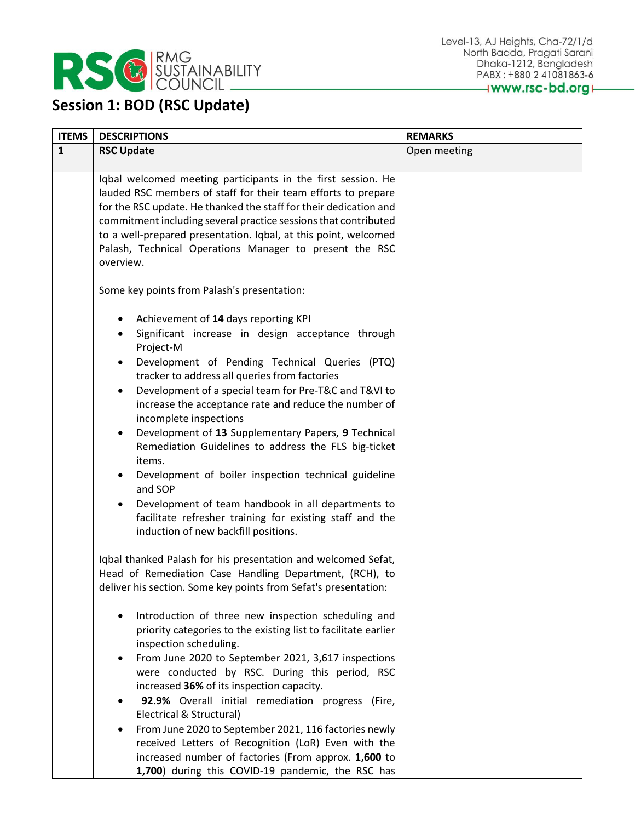

## **Session 1: BOD (RSC Update)**

| <b>ITEMS</b> | <b>DESCRIPTIONS</b>                                                                                                                                                                                                                                                                                                                                                                                                                                                                                                                                                                                                                                                                                                                                                                                                | <b>REMARKS</b> |
|--------------|--------------------------------------------------------------------------------------------------------------------------------------------------------------------------------------------------------------------------------------------------------------------------------------------------------------------------------------------------------------------------------------------------------------------------------------------------------------------------------------------------------------------------------------------------------------------------------------------------------------------------------------------------------------------------------------------------------------------------------------------------------------------------------------------------------------------|----------------|
| $\mathbf{1}$ | <b>RSC Update</b>                                                                                                                                                                                                                                                                                                                                                                                                                                                                                                                                                                                                                                                                                                                                                                                                  | Open meeting   |
|              | Iqbal welcomed meeting participants in the first session. He<br>lauded RSC members of staff for their team efforts to prepare<br>for the RSC update. He thanked the staff for their dedication and<br>commitment including several practice sessions that contributed<br>to a well-prepared presentation. Iqbal, at this point, welcomed<br>Palash, Technical Operations Manager to present the RSC<br>overview.                                                                                                                                                                                                                                                                                                                                                                                                   |                |
|              | Some key points from Palash's presentation:                                                                                                                                                                                                                                                                                                                                                                                                                                                                                                                                                                                                                                                                                                                                                                        |                |
|              | Achievement of 14 days reporting KPI<br>Significant increase in design acceptance through<br>Project-M<br>Development of Pending Technical Queries (PTQ)<br>$\bullet$<br>tracker to address all queries from factories<br>Development of a special team for Pre-T&C and T&VI to<br>increase the acceptance rate and reduce the number of<br>incomplete inspections<br>Development of 13 Supplementary Papers, 9 Technical<br>Remediation Guidelines to address the FLS big-ticket<br>items.<br>Development of boiler inspection technical guideline<br>and SOP<br>Development of team handbook in all departments to<br>facilitate refresher training for existing staff and the<br>induction of new backfill positions.                                                                                           |                |
|              | Iqbal thanked Palash for his presentation and welcomed Sefat,<br>Head of Remediation Case Handling Department, (RCH), to<br>deliver his section. Some key points from Sefat's presentation:<br>Introduction of three new inspection scheduling and<br>priority categories to the existing list to facilitate earlier<br>inspection scheduling.<br>From June 2020 to September 2021, 3,617 inspections<br>were conducted by RSC. During this period, RSC<br>increased 36% of its inspection capacity.<br>92.9% Overall initial remediation progress (Fire,<br>Electrical & Structural)<br>From June 2020 to September 2021, 116 factories newly<br>received Letters of Recognition (LoR) Even with the<br>increased number of factories (From approx. 1,600 to<br>1,700) during this COVID-19 pandemic, the RSC has |                |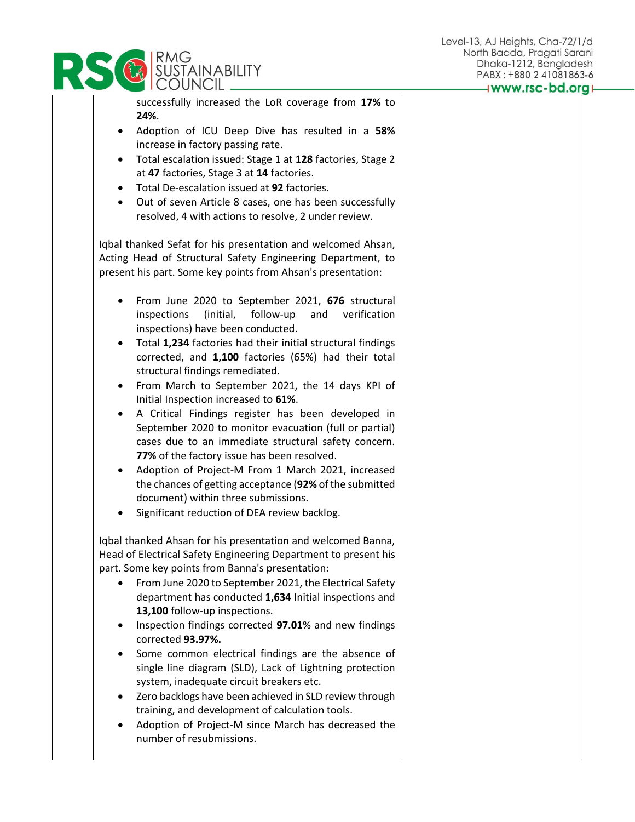

**SUSTAINABILITY** 

• Adoption of Project-M since March has decreased the number of resubmissions.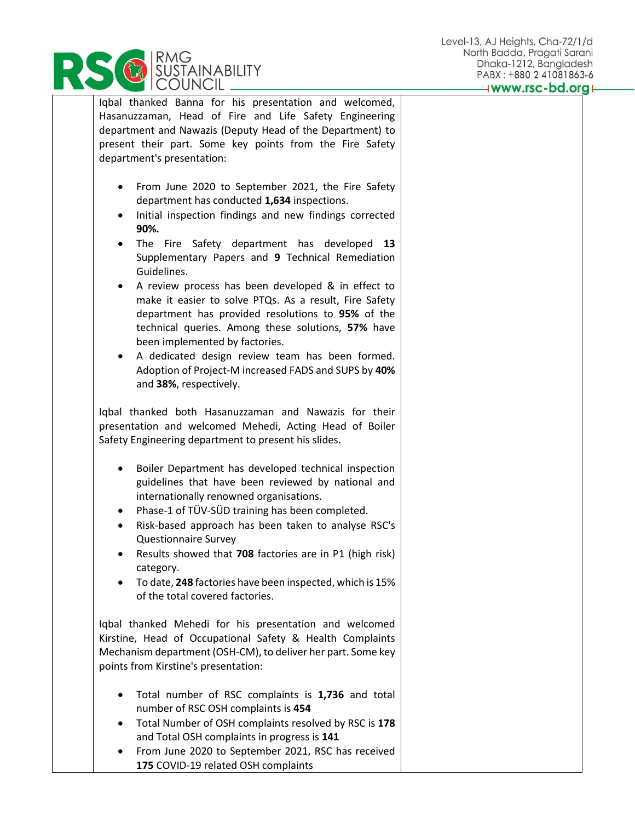Iqbal thanked Banna for his presentation and welcomed, Hasanuzzaman, Head of Fire and Life Safety Engineering department and Nawazis (Deputy Head of the Department) to present their part. Some key points from the Fire Safety department's presentation: • From June 2020 to September 2021, the Fire Safety department has conducted **1,634** inspections. • Initial inspection findings and new findings corrected **90%.** • The Fire Safety department has developed **13** Supplementary Papers and **9** Technical Remediation Guidelines. • A review process has been developed & in effect to make it easier to solve PTQs. As a result, Fire Safety department has provided resolutions to **95%** of the technical queries. Among these solutions, **57%** have been implemented by factories. A dedicated design review team has been formed. Adoption of Project-M increased FADS and SUPS by **40%** and **38%**, respectively. Iqbal thanked both Hasanuzzaman and Nawazis for their presentation and welcomed Mehedi, Acting Head of Boiler Safety Engineering department to present his slides. • Boiler Department has developed technical inspection guidelines that have been reviewed by national and internationally renowned organisations. • Phase-1 of TÜV-SÜD training has been completed. • Risk-based approach has been taken to analyse RSC's Questionnaire Survey • Results showed that **708** factories are in P1 (high risk) category. • To date, **248** factories have been inspected, which is 15% of the total covered factories. Iqbal thanked Mehedi for his presentation and welcomed Kirstine, Head of Occupational Safety & Health Complaints Mechanism department (OSH-CM), to deliver her part. Some key points from Kirstine's presentation: • Total number of RSC complaints is **1,736** and total number of RSC OSH complaints is **454** • Total Number of OSH complaints resolved by RSC is **178** and Total OSH complaints in progress is **141** • From June 2020 to September 2021, RSC has received

**175** COVID-19 related OSH complaints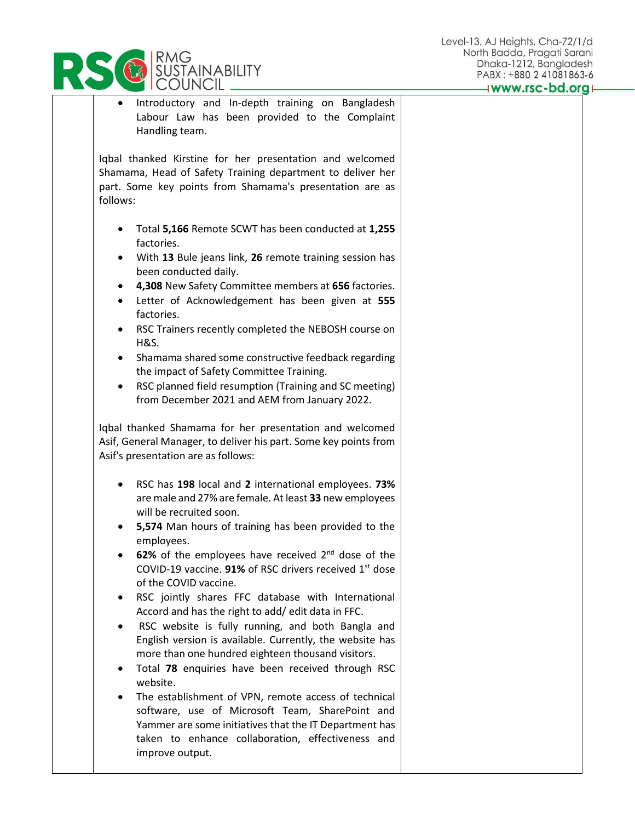

| Introductory and In-depth training on Bangladesh<br>٠<br>Labour Law has been provided to the Complaint<br>Handling team.                                                                                                                                                                                                                                                                                                                                                                                                                                                                                                                                                                                                                                                                                                                                                                                                                                                               |  |
|----------------------------------------------------------------------------------------------------------------------------------------------------------------------------------------------------------------------------------------------------------------------------------------------------------------------------------------------------------------------------------------------------------------------------------------------------------------------------------------------------------------------------------------------------------------------------------------------------------------------------------------------------------------------------------------------------------------------------------------------------------------------------------------------------------------------------------------------------------------------------------------------------------------------------------------------------------------------------------------|--|
| Iqbal thanked Kirstine for her presentation and welcomed<br>Shamama, Head of Safety Training department to deliver her<br>part. Some key points from Shamama's presentation are as<br>follows:                                                                                                                                                                                                                                                                                                                                                                                                                                                                                                                                                                                                                                                                                                                                                                                         |  |
| Total 5,166 Remote SCWT has been conducted at 1,255<br>$\bullet$<br>factories.<br>With 13 Bule jeans link, 26 remote training session has<br>٠<br>been conducted daily.<br>4,308 New Safety Committee members at 656 factories.<br>$\bullet$<br>Letter of Acknowledgement has been given at 555<br>$\bullet$<br>factories.<br>RSC Trainers recently completed the NEBOSH course on<br>$\bullet$<br><b>H&amp;S.</b><br>Shamama shared some constructive feedback regarding<br>$\bullet$<br>the impact of Safety Committee Training.<br>RSC planned field resumption (Training and SC meeting)<br>$\bullet$<br>from December 2021 and AEM from January 2022.                                                                                                                                                                                                                                                                                                                             |  |
| Iqbal thanked Shamama for her presentation and welcomed<br>Asif, General Manager, to deliver his part. Some key points from<br>Asif's presentation are as follows:                                                                                                                                                                                                                                                                                                                                                                                                                                                                                                                                                                                                                                                                                                                                                                                                                     |  |
| RSC has 198 local and 2 international employees. 73%<br>$\bullet$<br>are male and 27% are female. At least 33 new employees<br>will be recruited soon.<br>5,574 Man hours of training has been provided to the<br>employees.<br>62% of the employees have received $2^{nd}$ dose of the<br>COVID-19 vaccine. 91% of RSC drivers received 1 <sup>st</sup> dose<br>of the COVID vaccine.<br>RSC jointly shares FFC database with International<br>Accord and has the right to add/ edit data in FFC.<br>RSC website is fully running, and both Bangla and<br>English version is available. Currently, the website has<br>more than one hundred eighteen thousand visitors.<br>Total 78 enquiries have been received through RSC<br>website.<br>The establishment of VPN, remote access of technical<br>software, use of Microsoft Team, SharePoint and<br>Yammer are some initiatives that the IT Department has<br>taken to enhance collaboration, effectiveness and<br>improve output. |  |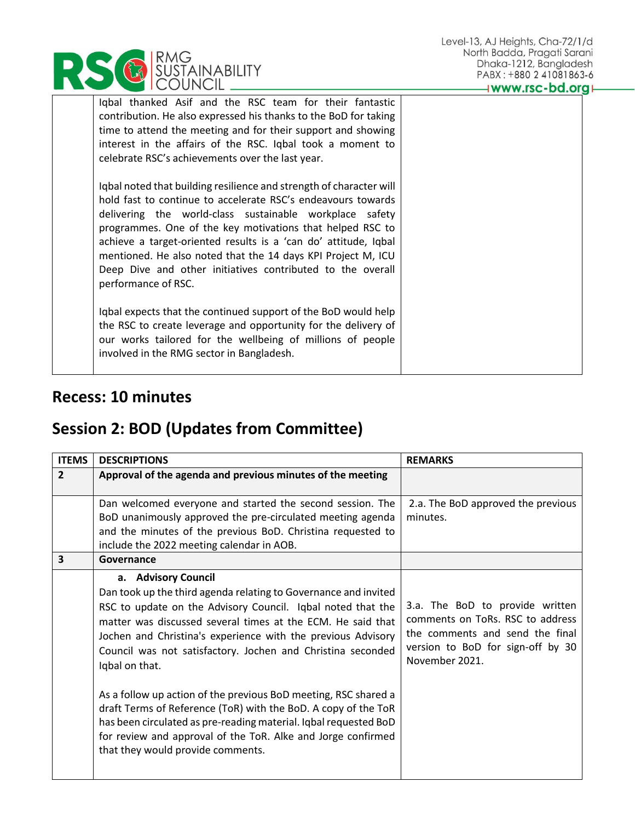Iqbal thanked Asif and the RSC team for their fantastic contribution. He also expressed his thanks to the BoD for taking time to attend the meeting and for their support and showing interest in the affairs of the RSC. Iqbal took a moment to celebrate RSC's achievements over the last year.

Iqbal noted that building resilience and strength of character will hold fast to continue to accelerate RSC's endeavours towards delivering the world-class sustainable workplace safety programmes. One of the key motivations that helped RSC to achieve a target-oriented results is a 'can do' attitude, Iqbal mentioned. He also noted that the 14 days KPI Project M, ICU Deep Dive and other initiatives contributed to the overall performance of RSC.

Iqbal expects that the continued support of the BoD would help the RSC to create leverage and opportunity for the delivery of our works tailored for the wellbeing of millions of people involved in the RMG sector in Bangladesh.

## **Recess: 10 minutes**

## **Session 2: BOD (Updates from Committee)**

| <b>ITEMS</b>   | <b>DESCRIPTIONS</b>                                                                                                                                                                                                                                                                                                                                                   | <b>REMARKS</b>                                                                                                                                                |
|----------------|-----------------------------------------------------------------------------------------------------------------------------------------------------------------------------------------------------------------------------------------------------------------------------------------------------------------------------------------------------------------------|---------------------------------------------------------------------------------------------------------------------------------------------------------------|
| $\overline{2}$ | Approval of the agenda and previous minutes of the meeting                                                                                                                                                                                                                                                                                                            |                                                                                                                                                               |
|                | Dan welcomed everyone and started the second session. The<br>BoD unanimously approved the pre-circulated meeting agenda<br>and the minutes of the previous BoD. Christina requested to<br>include the 2022 meeting calendar in AOB.                                                                                                                                   | 2.a. The BoD approved the previous<br>minutes.                                                                                                                |
| 3              | Governance                                                                                                                                                                                                                                                                                                                                                            |                                                                                                                                                               |
|                | a. Advisory Council<br>Dan took up the third agenda relating to Governance and invited<br>RSC to update on the Advisory Council. Iqbal noted that the<br>matter was discussed several times at the ECM. He said that<br>Jochen and Christina's experience with the previous Advisory<br>Council was not satisfactory. Jochen and Christina seconded<br>Iqbal on that. | 3.a. The BoD to provide written<br>comments on ToRs. RSC to address<br>the comments and send the final<br>version to BoD for sign-off by 30<br>November 2021. |
|                | As a follow up action of the previous BoD meeting, RSC shared a<br>draft Terms of Reference (ToR) with the BoD. A copy of the ToR<br>has been circulated as pre-reading material. Iqbal requested BoD<br>for review and approval of the ToR. Alke and Jorge confirmed<br>that they would provide comments.                                                            |                                                                                                                                                               |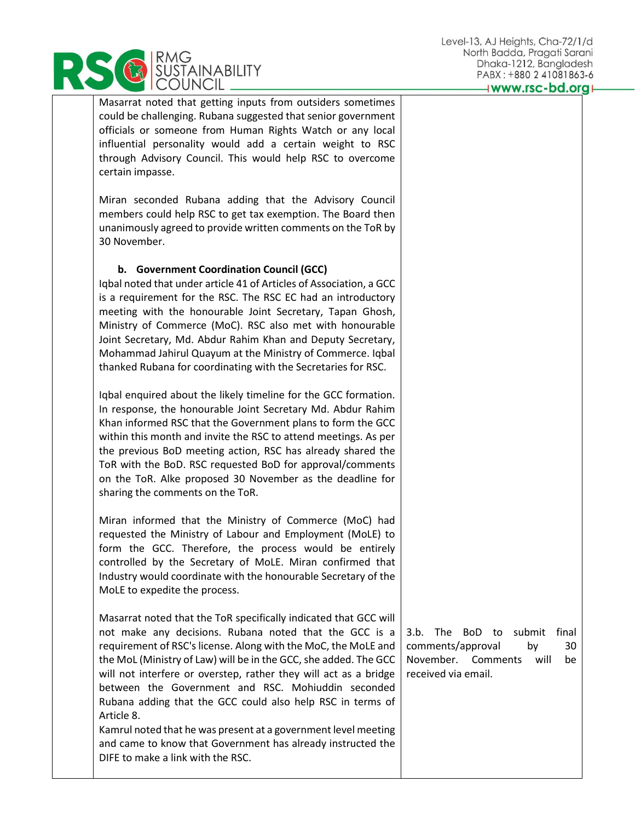

Masarrat noted that getting inputs from outsiders sometimes could be challenging. Rubana suggested that senior government officials or someone from Human Rights Watch or any local influential personality would add a certain weight to RSC through Advisory Council. This would help RSC to overcome certain impasse.

Miran seconded Rubana adding that the Advisory Council members could help RSC to get tax exemption. The Board then unanimously agreed to provide written comments on the ToR by 30 November.

## **b. Government Coordination Council (GCC)**

Iqbal noted that under article 41 of Articles of Association, a GCC is a requirement for the RSC. The RSC EC had an introductory meeting with the honourable Joint Secretary, Tapan Ghosh, Ministry of Commerce (MoC). RSC also met with honourable Joint Secretary, Md. Abdur Rahim Khan and Deputy Secretary, Mohammad Jahirul Quayum at the Ministry of Commerce. Iqbal thanked Rubana for coordinating with the Secretaries for RSC.

Iqbal enquired about the likely timeline for the GCC formation. In response, the honourable Joint Secretary Md. Abdur Rahim Khan informed RSC that the Government plans to form the GCC within this month and invite the RSC to attend meetings. As per the previous BoD meeting action, RSC has already shared the ToR with the BoD. RSC requested BoD for approval/comments on the ToR. Alke proposed 30 November as the deadline for sharing the comments on the ToR.

Miran informed that the Ministry of Commerce (MoC) had requested the Ministry of Labour and Employment (MoLE) to form the GCC. Therefore, the process would be entirely controlled by the Secretary of MoLE. Miran confirmed that Industry would coordinate with the honourable Secretary of the MoLE to expedite the process.

Masarrat noted that the ToR specifically indicated that GCC will not make any decisions. Rubana noted that the GCC is a requirement of RSC's license. Along with the MoC, the MoLE and the MoL (Ministry of Law) will be in the GCC, she added. The GCC will not interfere or overstep, rather they will act as a bridge between the Government and RSC. Mohiuddin seconded Rubana adding that the GCC could also help RSC in terms of Article 8.

Kamrul noted that he was present at a government level meeting and came to know that Government has already instructed the DIFE to make a link with the RSC.

3.b. The BoD to submit final comments/approval by 30 November. Comments will be received via email.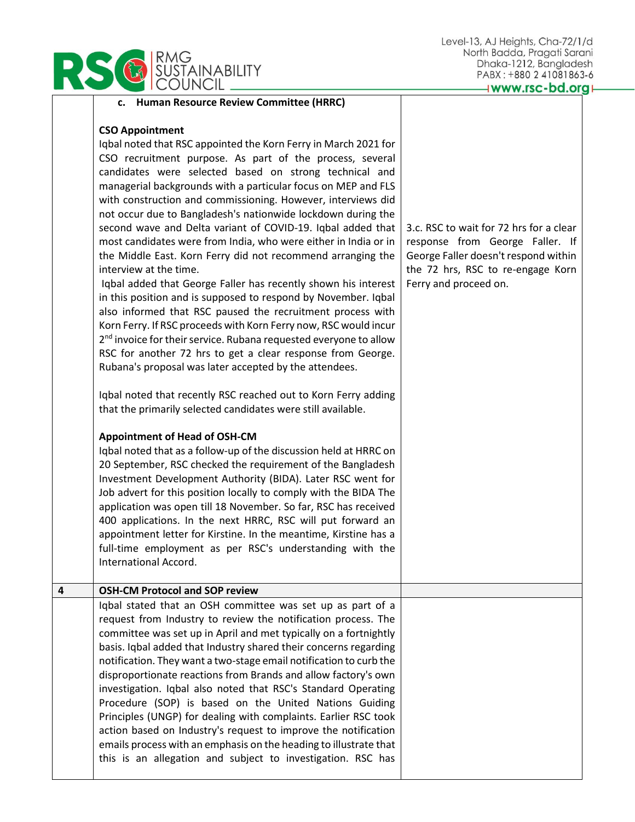## **USTAINABILITY** UNCIL .

| <b>CSO Appointment</b>                                          |  |  |
|-----------------------------------------------------------------|--|--|
| Iqbal noted that RSC appointed the Korn Ferry in March 2021 for |  |  |
| CSO recruitment purpose. As part of the process, several        |  |  |
| candidates were selected based on strong technical and          |  |  |
| managerial backgrounds with a particular focus on MEP and FLS   |  |  |
| with construction and commissioning. However, interviews did    |  |  |

**c. Human Resource Review Committee (HRRC)**

not occur due to Bangladesh's nationwide lockdown during the second wave and Delta variant of COVID-19. Iqbal added that most candidates were from India, who were either in India or in the Middle East. Korn Ferry did not recommend arranging the interview at the time. Iqbal added that George Faller has recently shown his interest in this position and is supposed to respond by November. Iqbal also informed that RSC paused the recruitment process with Korn Ferry. If RSC proceeds with Korn Ferry now, RSC would incur 2<sup>nd</sup> invoice for their service. Rubana requested everyone to allow RSC for another 72 hrs to get a clear response from George.

Iqbal noted that recently RSC reached out to Korn Ferry adding that the primarily selected candidates were still available.

Rubana's proposal was later accepted by the attendees.

## **Appointment of Head of OSH-CM**

Iqbal noted that as a follow-up of the discussion held at HRRC on 20 September, RSC checked the requirement of the Bangladesh Investment Development Authority (BIDA). Later RSC went for Job advert for this position locally to comply with the BIDA The application was open till 18 November. So far, RSC has received 400 applications. In the next HRRC, RSC will put forward an appointment letter for Kirstine. In the meantime, Kirstine has a full-time employment as per RSC's understanding with the International Accord.

3.c. RSC to wait for 72 hrs for a clear response from George Faller. If George Faller doesn't respond within the 72 hrs, RSC to re-engage Korn Ferry and proceed on.

# **4 OSH-CM Protocol and SOP review**

Iqbal stated that an OSH committee was set up as part of a request from Industry to review the notification process. The committee was set up in April and met typically on a fortnightly basis. Iqbal added that Industry shared their concerns regarding notification. They want a two-stage email notification to curb the disproportionate reactions from Brands and allow factory's own investigation. Iqbal also noted that RSC's Standard Operating Procedure (SOP) is based on the United Nations Guiding Principles (UNGP) for dealing with complaints. Earlier RSC took action based on Industry's request to improve the notification emails process with an emphasis on the heading to illustrate that this is an allegation and subject to investigation. RSC has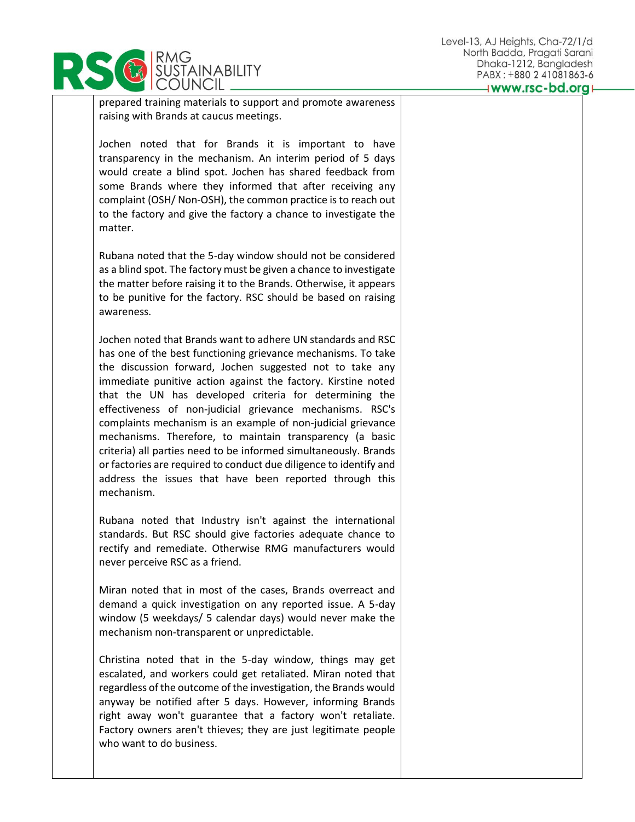

prepared training materials to support and promote awareness raising with Brands at caucus meetings.

Jochen noted that for Brands it is important to have transparency in the mechanism. An interim period of 5 days would create a blind spot. Jochen has shared feedback from some Brands where they informed that after receiving any complaint (OSH/ Non-OSH), the common practice is to reach out to the factory and give the factory a chance to investigate the matter.

Rubana noted that the 5-day window should not be considered as a blind spot. The factory must be given a chance to investigate the matter before raising it to the Brands. Otherwise, it appears to be punitive for the factory. RSC should be based on raising awareness.

Jochen noted that Brands want to adhere UN standards and RSC has one of the best functioning grievance mechanisms. To take the discussion forward, Jochen suggested not to take any immediate punitive action against the factory. Kirstine noted that the UN has developed criteria for determining the effectiveness of non-judicial grievance mechanisms. RSC's complaints mechanism is an example of non-judicial grievance mechanisms. Therefore, to maintain transparency (a basic criteria) all parties need to be informed simultaneously. Brands or factories are required to conduct due diligence to identify and address the issues that have been reported through this mechanism.

Rubana noted that Industry isn't against the international standards. But RSC should give factories adequate chance to rectify and remediate. Otherwise RMG manufacturers would never perceive RSC as a friend.

Miran noted that in most of the cases, Brands overreact and demand a quick investigation on any reported issue. A 5-day window (5 weekdays/ 5 calendar days) would never make the mechanism non-transparent or unpredictable.

Christina noted that in the 5-day window, things may get escalated, and workers could get retaliated. Miran noted that regardless of the outcome of the investigation, the Brands would anyway be notified after 5 days. However, informing Brands right away won't guarantee that a factory won't retaliate. Factory owners aren't thieves; they are just legitimate people who want to do business.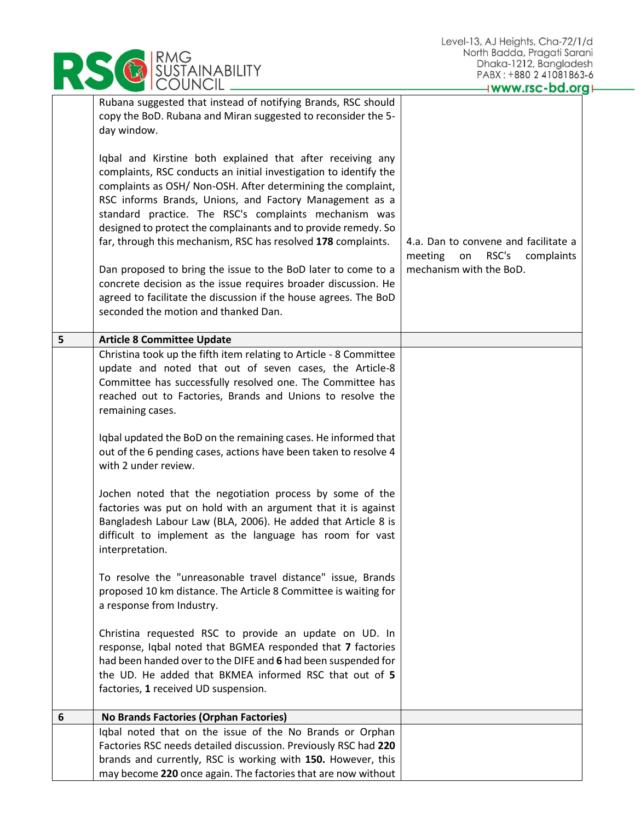|   | RMG<br>SUSTAINABILITY                                                                                                                                                                                                                                                                                                                                                                                                                                  | North Badda, Pragati Saro<br>Dhaka-1212, Banglade:                                                      |
|---|--------------------------------------------------------------------------------------------------------------------------------------------------------------------------------------------------------------------------------------------------------------------------------------------------------------------------------------------------------------------------------------------------------------------------------------------------------|---------------------------------------------------------------------------------------------------------|
|   |                                                                                                                                                                                                                                                                                                                                                                                                                                                        | PABX: +880 2 41081863<br>www.rsc-bd.org                                                                 |
|   | Rubana suggested that instead of notifying Brands, RSC should<br>copy the BoD. Rubana and Miran suggested to reconsider the 5-<br>day window.                                                                                                                                                                                                                                                                                                          |                                                                                                         |
|   | Iqbal and Kirstine both explained that after receiving any<br>complaints, RSC conducts an initial investigation to identify the<br>complaints as OSH/ Non-OSH. After determining the complaint,<br>RSC informs Brands, Unions, and Factory Management as a<br>standard practice. The RSC's complaints mechanism was<br>designed to protect the complainants and to provide remedy. So<br>far, through this mechanism, RSC has resolved 178 complaints. | 4.a. Dan to convene and facilitate a<br>RSC's<br>meeting<br>on<br>complaints<br>mechanism with the BoD. |
|   | Dan proposed to bring the issue to the BoD later to come to a<br>concrete decision as the issue requires broader discussion. He<br>agreed to facilitate the discussion if the house agrees. The BoD<br>seconded the motion and thanked Dan.                                                                                                                                                                                                            |                                                                                                         |
| 5 | <b>Article 8 Committee Update</b>                                                                                                                                                                                                                                                                                                                                                                                                                      |                                                                                                         |
|   | Christina took up the fifth item relating to Article - 8 Committee<br>update and noted that out of seven cases, the Article-8<br>Committee has successfully resolved one. The Committee has<br>reached out to Factories, Brands and Unions to resolve the<br>remaining cases.                                                                                                                                                                          |                                                                                                         |
|   | Iqbal updated the BoD on the remaining cases. He informed that<br>out of the 6 pending cases, actions have been taken to resolve 4<br>with 2 under review.                                                                                                                                                                                                                                                                                             |                                                                                                         |
|   | Jochen noted that the negotiation process by some of the<br>factories was put on hold with an argument that it is against<br>Bangladesh Labour Law (BLA, 2006). He added that Article 8 is<br>difficult to implement as the language has room for vast<br>interpretation.                                                                                                                                                                              |                                                                                                         |
|   | To resolve the "unreasonable travel distance" issue, Brands<br>proposed 10 km distance. The Article 8 Committee is waiting for<br>a response from Industry.                                                                                                                                                                                                                                                                                            |                                                                                                         |
|   | Christina requested RSC to provide an update on UD. In<br>response, Iqbal noted that BGMEA responded that 7 factories<br>had been handed over to the DIFE and 6 had been suspended for<br>the UD. He added that BKMEA informed RSC that out of 5<br>factories, 1 received UD suspension.                                                                                                                                                               |                                                                                                         |
| 6 | No Brands Factories (Orphan Factories)                                                                                                                                                                                                                                                                                                                                                                                                                 |                                                                                                         |
|   | Iqbal noted that on the issue of the No Brands or Orphan<br>Factories RSC needs detailed discussion. Previously RSC had 220<br>brands and currently, RSC is working with 150. However, this<br>may become 220 once again. The factories that are now without                                                                                                                                                                                           |                                                                                                         |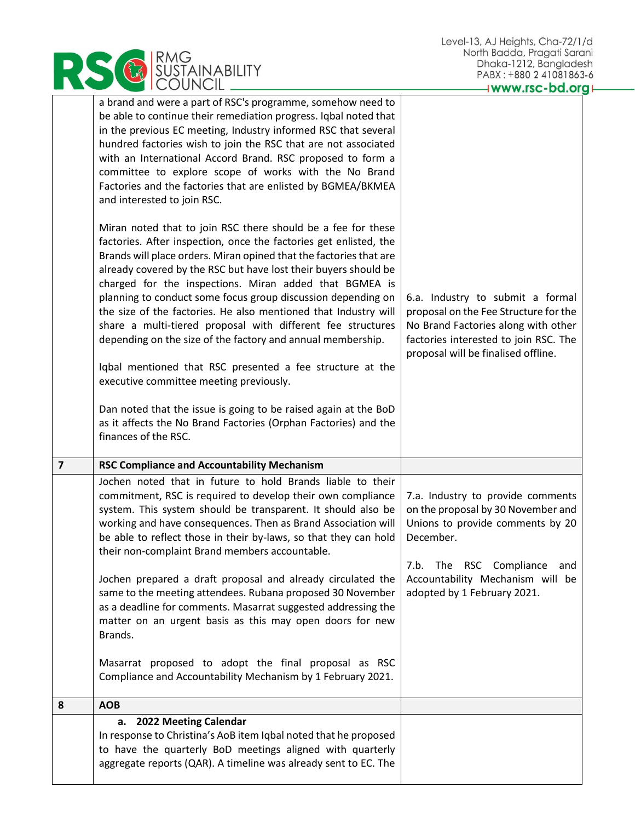|                                                                                                                                                                                                                                                                                                                                                                                                                                                                                                                                                                                                                                                                                                                                                                                                                                                                             | North Badda, Pragati Sarc<br>Dhaka-1212, Banglade                                                                                                                                                |
|-----------------------------------------------------------------------------------------------------------------------------------------------------------------------------------------------------------------------------------------------------------------------------------------------------------------------------------------------------------------------------------------------------------------------------------------------------------------------------------------------------------------------------------------------------------------------------------------------------------------------------------------------------------------------------------------------------------------------------------------------------------------------------------------------------------------------------------------------------------------------------|--------------------------------------------------------------------------------------------------------------------------------------------------------------------------------------------------|
| RMG<br>SUSTAINABILITY<br>COUNCIL                                                                                                                                                                                                                                                                                                                                                                                                                                                                                                                                                                                                                                                                                                                                                                                                                                            | PABX: +880 2 41081863                                                                                                                                                                            |
|                                                                                                                                                                                                                                                                                                                                                                                                                                                                                                                                                                                                                                                                                                                                                                                                                                                                             | www.rsc-bd.org                                                                                                                                                                                   |
| a brand and were a part of RSC's programme, somehow need to<br>be able to continue their remediation progress. Iqbal noted that<br>in the previous EC meeting, Industry informed RSC that several<br>hundred factories wish to join the RSC that are not associated<br>with an International Accord Brand. RSC proposed to form a<br>committee to explore scope of works with the No Brand<br>Factories and the factories that are enlisted by BGMEA/BKMEA<br>and interested to join RSC.                                                                                                                                                                                                                                                                                                                                                                                   |                                                                                                                                                                                                  |
| Miran noted that to join RSC there should be a fee for these<br>factories. After inspection, once the factories get enlisted, the<br>Brands will place orders. Miran opined that the factories that are<br>already covered by the RSC but have lost their buyers should be<br>charged for the inspections. Miran added that BGMEA is<br>planning to conduct some focus group discussion depending on<br>the size of the factories. He also mentioned that Industry will<br>share a multi-tiered proposal with different fee structures<br>depending on the size of the factory and annual membership.<br>Iqbal mentioned that RSC presented a fee structure at the<br>executive committee meeting previously.<br>Dan noted that the issue is going to be raised again at the BoD<br>as it affects the No Brand Factories (Orphan Factories) and the<br>finances of the RSC. | 6.a. Industry to submit a formal<br>proposal on the Fee Structure for the<br>No Brand Factories along with other<br>factories interested to join RSC. The<br>proposal will be finalised offline. |
| $\overline{\mathbf{z}}$<br><b>RSC Compliance and Accountability Mechanism</b>                                                                                                                                                                                                                                                                                                                                                                                                                                                                                                                                                                                                                                                                                                                                                                                               |                                                                                                                                                                                                  |
| Jochen noted that in future to hold Brands liable to their<br>commitment, RSC is required to develop their own compliance<br>system. This system should be transparent. It should also be<br>working and have consequences. Then as Brand Association will<br>be able to reflect those in their by-laws, so that they can hold<br>their non-complaint Brand members accountable.                                                                                                                                                                                                                                                                                                                                                                                                                                                                                            | 7.a. Industry to provide comments<br>on the proposal by 30 November and<br>Unions to provide comments by 20<br>December.<br>7.b. The RSC Compliance<br>and                                       |
| Jochen prepared a draft proposal and already circulated the<br>same to the meeting attendees. Rubana proposed 30 November<br>as a deadline for comments. Masarrat suggested addressing the<br>matter on an urgent basis as this may open doors for new<br>Brands.                                                                                                                                                                                                                                                                                                                                                                                                                                                                                                                                                                                                           | Accountability Mechanism will be<br>adopted by 1 February 2021.                                                                                                                                  |
| Masarrat proposed to adopt the final proposal as RSC<br>Compliance and Accountability Mechanism by 1 February 2021.                                                                                                                                                                                                                                                                                                                                                                                                                                                                                                                                                                                                                                                                                                                                                         |                                                                                                                                                                                                  |
| 8<br><b>AOB</b>                                                                                                                                                                                                                                                                                                                                                                                                                                                                                                                                                                                                                                                                                                                                                                                                                                                             |                                                                                                                                                                                                  |
| a. 2022 Meeting Calendar<br>In response to Christina's AoB item Iqbal noted that he proposed<br>to have the quarterly BoD meetings aligned with quarterly<br>aggregate reports (QAR). A timeline was already sent to EC. The                                                                                                                                                                                                                                                                                                                                                                                                                                                                                                                                                                                                                                                |                                                                                                                                                                                                  |